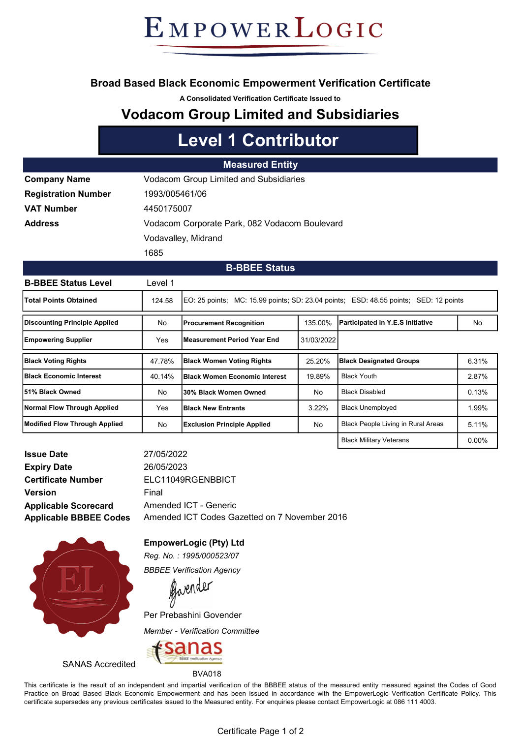# EMPOWERLOGIC

### Broad Based Black Economic Empowerment Verification Certificate

A Consolidated Verification Certificate Issued to

## Vodacom Group Limited and Subsidiaries

## Level 1 Contributor

#### Measured Entity

| <b>Company Name</b>        | <b>Vodacom Group Limited and Subsidiaries</b> |  |  |
|----------------------------|-----------------------------------------------|--|--|
| <b>Registration Number</b> | 1993/005461/06                                |  |  |
| <b>VAT Number</b>          | 4450175007                                    |  |  |
| Address                    | Vodacom Corporate Park, 082 Vodacom Boulevard |  |  |
|                            | Vodavalley, Midrand                           |  |  |
|                            | 1685                                          |  |  |

#### B-BBEE Status

| <b>B-BBEE Status Level</b>           | Level 1    |                                                                                         |            |                                           |          |  |
|--------------------------------------|------------|-----------------------------------------------------------------------------------------|------------|-------------------------------------------|----------|--|
| <b>Total Points Obtained</b>         | 124.58     | EO: 25 points; MC: 15.99 points; SD: 23.04 points; ESD: 48.55 points;<br>SED: 12 points |            |                                           |          |  |
| <b>Discounting Principle Applied</b> | No         | <b>Procurement Recognition</b>                                                          | 135.00%    | Participated in Y.E.S Initiative          | No       |  |
| <b>Empowering Supplier</b>           | Yes        | lMeasurement Period Year End                                                            | 31/03/2022 |                                           |          |  |
| <b>Black Voting Rights</b>           | 47.78%     | <b>Black Women Voting Rights</b>                                                        | 25.20%     | <b>Black Designated Groups</b>            | 6.31%    |  |
| <b>IBlack Economic Interest</b>      | 40.14%     | <b>IBlack Women Economic Interest</b>                                                   | 19.89%     | <b>Black Youth</b>                        | 2.87%    |  |
| l51% Black Owned                     | No         | l30% Black Women Owned                                                                  | No         | <b>Black Disabled</b>                     | 0.13%    |  |
| Normal Flow Through Applied          | <b>Yes</b> | <b>IBlack New Entrants</b>                                                              | 3.22%      | <b>Black Unemployed</b>                   | 1.99%    |  |
| Modified Flow Through Applied        | No         | <b>Exclusion Principle Applied</b>                                                      | No         | <b>Black People Living in Rural Areas</b> | 5.11%    |  |
|                                      |            |                                                                                         |            | <b>Black Military Veterans</b>            | $0.00\%$ |  |

| <b>Issue Date</b>             |
|-------------------------------|
| <b>Expiry Date</b>            |
| <b>Certificate Number</b>     |
| <b>Version</b>                |
| <b>Applicable Scorecard</b>   |
| <b>Applicable BBBEE Codes</b> |

Amended ICT - Generic ELC11049RGENBBICT Final Amended ICT Codes Gazetted on 7 November 2016 26/05/2023 27/05/2022



EmpowerLogic (Pty) Ltd

Reg. No. : 1995/000523/07 BBBEE Verification Agency

Gavender

Per Prebashini Govender

Member - Verification Committee

BVA018



SANAS Accredited

This certificate is the result of an independent and impartial verification of the BBBEE status of the measured entity measured against the Codes of Good Practice on Broad Based Black Economic Empowerment and has been issued in accordance with the EmpowerLogic Verification Certificate Policy. This certificate supersedes any previous certificates issued to the Measured entity. For enquiries please contact EmpowerLogic at 086 111 4003.